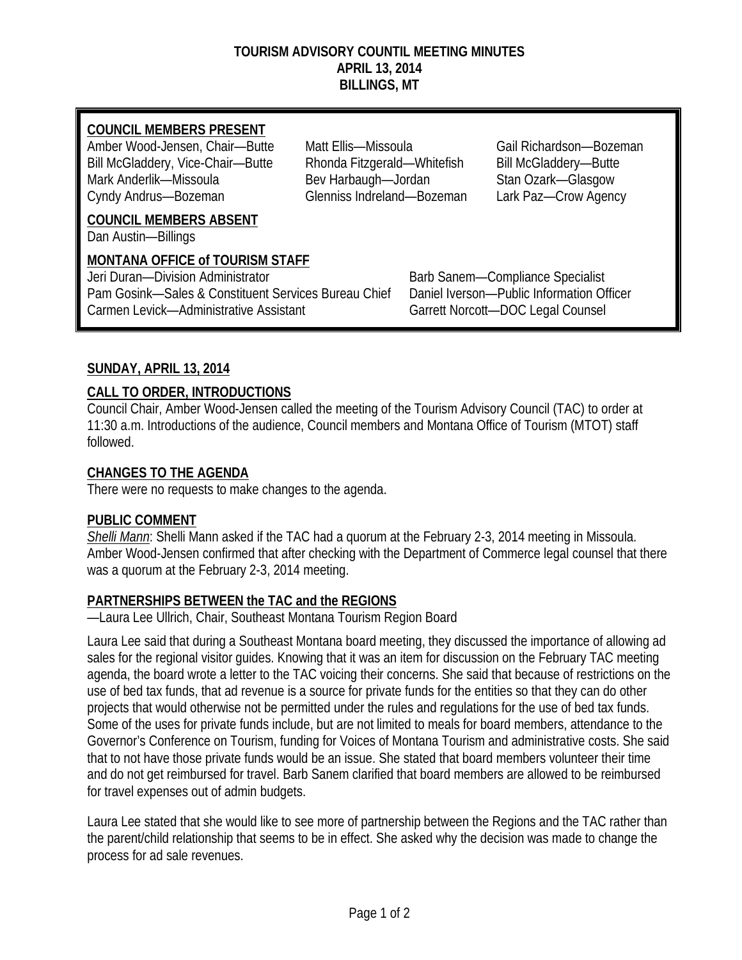#### **TOURISM ADVISORY COUNTIL MEETING MINUTES APRIL 13, 2014 BILLINGS, MT**

### **COUNCIL MEMBERS PRESENT**

Amber Wood-Jensen, Chair—Butte Matt Ellis—Missoula Gail Richardson—Bozeman Bill McGladdery, Vice-Chair—Butte Rhonda Fitzgerald—Whitefish Bill McGladdery—Butte Mark Anderlik—Missoula Bev Harbaugh—Jordan Stan Ozark—Glasgow Cyndy Andrus—Bozeman Glenniss Indreland—Bozeman Lark Paz—Crow Agency

**COUNCIL MEMBERS ABSENT**

Dan Austin—Billings

### **MONTANA OFFICE of TOURISM STAFF**

Jeri Duran—Division Administrator buridades and Barb Sanem—Compliance Specialist Pam Gosink—Sales & Constituent Services Bureau Chief Daniel Iverson—Public Information Officer Carmen Levick—Administrative Assistant Garrett Norcott—DOC Legal Counsel

## **SUNDAY, APRIL 13, 2014**

## **CALL TO ORDER, INTRODUCTIONS**

Council Chair, Amber Wood-Jensen called the meeting of the Tourism Advisory Council (TAC) to order at 11:30 a.m. Introductions of the audience, Council members and Montana Office of Tourism (MTOT) staff followed.

### **CHANGES TO THE AGENDA**

There were no requests to make changes to the agenda.

### **PUBLIC COMMENT**

*Shelli Mann*: Shelli Mann asked if the TAC had a quorum at the February 2-3, 2014 meeting in Missoula. Amber Wood-Jensen confirmed that after checking with the Department of Commerce legal counsel that there was a quorum at the February 2-3, 2014 meeting.

### **PARTNERSHIPS BETWEEN the TAC and the REGIONS**

—Laura Lee Ullrich, Chair, Southeast Montana Tourism Region Board

Laura Lee said that during a Southeast Montana board meeting, they discussed the importance of allowing ad sales for the regional visitor guides. Knowing that it was an item for discussion on the February TAC meeting agenda, the board wrote a letter to the TAC voicing their concerns. She said that because of restrictions on the use of bed tax funds, that ad revenue is a source for private funds for the entities so that they can do other projects that would otherwise not be permitted under the rules and regulations for the use of bed tax funds. Some of the uses for private funds include, but are not limited to meals for board members, attendance to the Governor's Conference on Tourism, funding for Voices of Montana Tourism and administrative costs. She said that to not have those private funds would be an issue. She stated that board members volunteer their time and do not get reimbursed for travel. Barb Sanem clarified that board members are allowed to be reimbursed for travel expenses out of admin budgets.

Laura Lee stated that she would like to see more of partnership between the Regions and the TAC rather than the parent/child relationship that seems to be in effect. She asked why the decision was made to change the process for ad sale revenues.